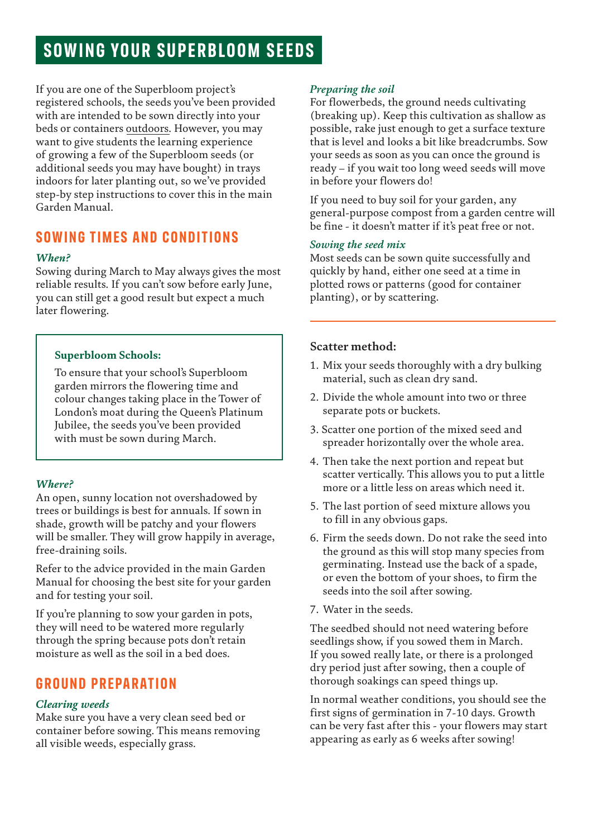# **SOWING YOUR SUPERBLOOM SEEDS**

If you are one of the Superbloom project's registered schools, the seeds you've been provided with are intended to be sown directly into your beds or containers outdoors. However, you may want to give students the learning experience of growing a few of the Superbloom seeds (or additional seeds you may have bought) in trays indoors for later planting out, so we've provided step-by step instructions to cover this in the main Garden Manual.

# **SOWING TIMES AND CONDITIONS**

#### *When?*

Sowing during March to May always gives the most reliable results. If you can't sow before early June, you can still get a good result but expect a much later flowering.

#### **Superbloom Schools:**

To ensure that your school's Superbloom garden mirrors the flowering time and colour changes taking place in the Tower of London's moat during the Queen's Platinum Jubilee, the seeds you've been provided with must be sown during March.

#### *Where?*

An open, sunny location not overshadowed by trees or buildings is best for annuals. If sown in shade, growth will be patchy and your flowers will be smaller. They will grow happily in average, free-draining soils.

Refer to the advice provided in the main Garden Manual for choosing the best site for your garden and for testing your soil.

If you're planning to sow your garden in pots, they will need to be watered more regularly through the spring because pots don't retain moisture as well as the soil in a bed does.

# **GROUND PREPARATION**

#### *Clearing weeds*

Make sure you have a very clean seed bed or container before sowing. This means removing all visible weeds, especially grass.

#### *Preparing the soil*

For flowerbeds, the ground needs cultivating (breaking up). Keep this cultivation as shallow as possible, rake just enough to get a surface texture that is level and looks a bit like breadcrumbs. Sow your seeds as soon as you can once the ground is ready – if you wait too long weed seeds will move in before your flowers do!

If you need to buy soil for your garden, any general-purpose compost from a garden centre will be fine - it doesn't matter if it's peat free or not.

#### *Sowing the seed mix*

Most seeds can be sown quite successfully and quickly by hand, either one seed at a time in plotted rows or patterns (good for container planting), or by scattering.

## **Scatter method:**

- 1. Mix your seeds thoroughly with a dry bulking material, such as clean dry sand.
- 2. Divide the whole amount into two or three separate pots or buckets.
- 3. Scatter one portion of the mixed seed and spreader horizontally over the whole area.
- 4. Then take the next portion and repeat but scatter vertically. This allows you to put a little more or a little less on areas which need it.
- 5. The last portion of seed mixture allows you to fill in any obvious gaps.
- 6. Firm the seeds down. Do not rake the seed into the ground as this will stop many species from germinating. Instead use the back of a spade, or even the bottom of your shoes, to firm the seeds into the soil after sowing.
- 7. Water in the seeds.

The seedbed should not need watering before seedlings show, if you sowed them in March. If you sowed really late, or there is a prolonged dry period just after sowing, then a couple of thorough soakings can speed things up.

In normal weather conditions, you should see the first signs of germination in 7-10 days. Growth can be very fast after this - your flowers may start appearing as early as 6 weeks after sowing!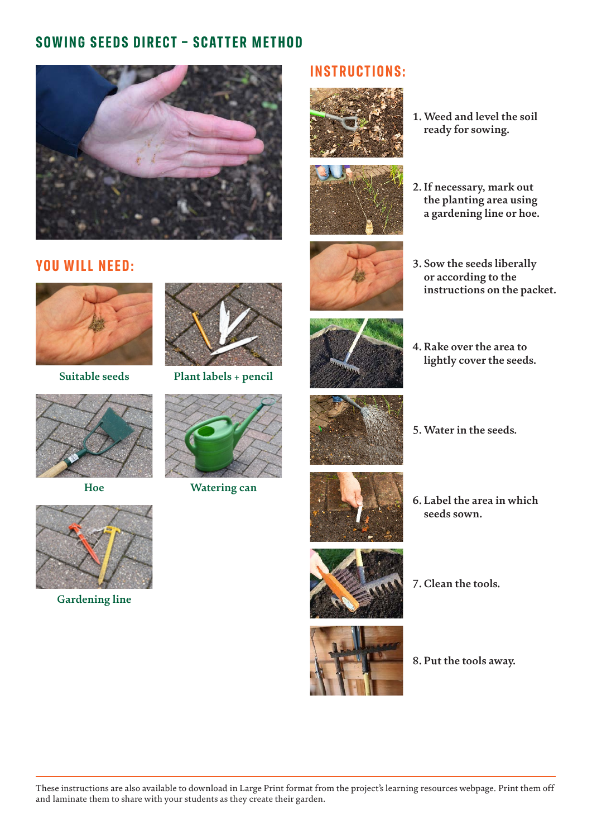# **SOWING SEEDS DIRECT – SCATTER METHOD**



## **YOU WILL NEED:**

## **INSTRUCTIONS:**





**1. Weed and level the soil ready for sowing.**



**3. Sow the seeds liberally or according to the** 

 **instructions on the packet.**



**Suitable seeds**







**Hoe Watering can**



**4. Rake over the area to lightly cover the seeds.**



**5. Water in the seeds.**



**6. Label the area in which seeds sown.**





**8. Put the tools away.**



**Gardening line**

These instructions are also available to download in Large Print format from the project's learning resources webpage. Print them off and laminate them to share with your students as they create their garden.